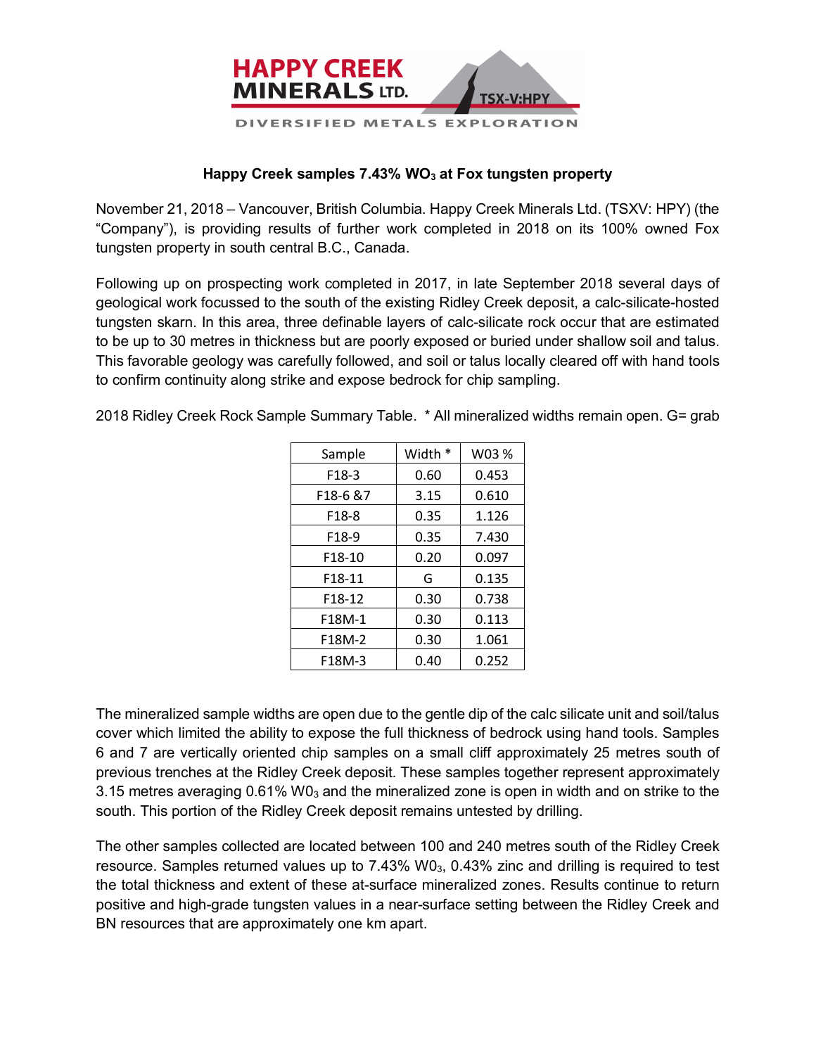

## **Happy Creek samples 7.43% WO<sub>3</sub> at Fox tungsten property**

November 21, 2018 – Vancouver, British Columbia. Happy Creek Minerals Ltd. (TSXV: HPY) (the "Company"), is providing results of further work completed in 2018 on its 100% owned Fox tungsten property in south central B.C., Canada.

Following up on prospecting work completed in 2017, in late September 2018 several days of geological work focussed to the south of the existing Ridley Creek deposit, a calc-silicate-hosted tungsten skarn. In this area, three definable layers of calc-silicate rock occur that are estimated to be up to 30 metres in thickness but are poorly exposed or buried under shallow soil and talus. This favorable geology was carefully followed, and soil or talus locally cleared off with hand tools to confirm continuity along strike and expose bedrock for chip sampling.

2018 Ridley Creek Rock Sample Summary Table. \* All mineralized widths remain open. G= grab

| Sample            | Width * | W03 % |
|-------------------|---------|-------|
| F18-3             | 0.60    | 0.453 |
| F18-6 &7          | 3.15    | 0.610 |
| F18-8             | 0.35    | 1.126 |
| F <sub>18-9</sub> | 0.35    | 7.430 |
| F18-10            | 0.20    | 0.097 |
| F18-11            | G       | 0.135 |
| F18-12            | 0.30    | 0.738 |
| F18M-1            | 0.30    | 0.113 |
| F18M-2            | 0.30    | 1.061 |
| F18M-3            | 0.40    | 0.252 |

The mineralized sample widths are open due to the gentle dip of the calc silicate unit and soil/talus cover which limited the ability to expose the full thickness of bedrock using hand tools. Samples 6 and 7 are vertically oriented chip samples on a small cliff approximately 25 metres south of previous trenches at the Ridley Creek deposit. These samples together represent approximately 3.15 metres averaging 0.61% W0<sub>3</sub> and the mineralized zone is open in width and on strike to the south. This portion of the Ridley Creek deposit remains untested by drilling.

The other samples collected are located between 100 and 240 metres south of the Ridley Creek resource. Samples returned values up to  $7.43\%$  W0 $_3$ , 0.43% zinc and drilling is required to test the total thickness and extent of these at-surface mineralized zones. Results continue to return positive and high-grade tungsten values in a near-surface setting between the Ridley Creek and BN resources that are approximately one km apart.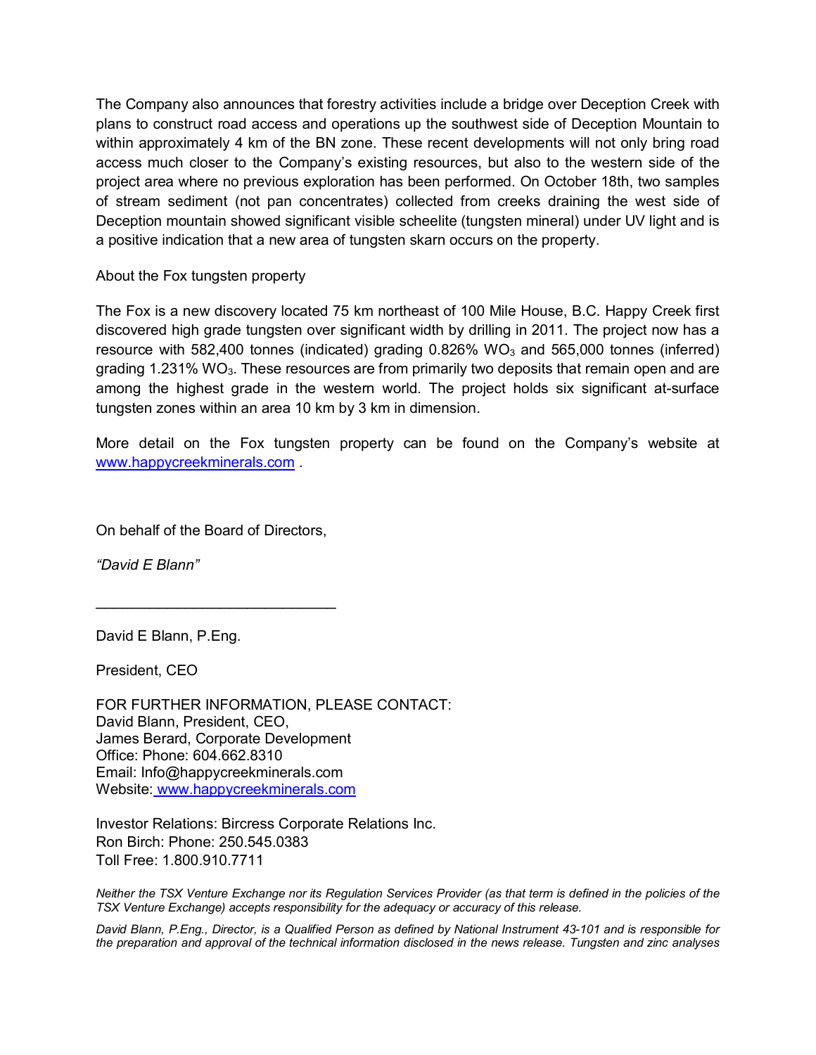The Company also announces that forestry activities include a bridge over Deception Creek with plans to construct road access and operations up the southwest side of Deception Mountain to within approximately 4 km of the BN zone. These recent developments will not only bring road access much closer to the Company's existing resources, but also to the western side of the project area where no previous exploration has been performed. On October 18th, two samples of stream sediment (not pan concentrates) collected from creeks draining the west side of Deception mountain showed significant visible scheelite (tungsten mineral) under UV light and is a positive indication that a new area of tungsten skarn occurs on the property.

About the Fox tungsten property

The Fox is a new discovery located 75 km northeast of 100 Mile House, B.C. Happy Creek first discovered high grade tungsten over significant width by drilling in 2011. The project now has a resource with 582,400 tonnes (indicated) grading  $0.826\%$  WO<sub>3</sub> and 565,000 tonnes (inferred) grading 1.231% WO<sub>3</sub>. These resources are from primarily two deposits that remain open and are among the highest grade in the western world. The project holds six significant at-surface tungsten zones within an area 10 km by 3 km in dimension.

More detail on the Fox tungsten property can be found on the Company's website at www.happycreekminerals.com .

On behalf of the Board of Directors,

\_\_\_\_\_\_\_\_\_\_\_\_\_\_\_\_\_\_\_\_\_\_\_\_\_\_\_

*"David E Blann"*

David E Blann, P.Eng.

President, CEO

FOR FURTHER INFORMATION, PLEASE CONTACT: David Blann, President, CEO, James Berard, Corporate Development Office: Phone: 604.662.8310 Email: Info@happycreekminerals.com Website: www.happycreekminerals.com

Investor Relations: Bircress Corporate Relations Inc. Ron Birch: Phone: 250.545.0383 Toll Free: 1.800.910.7711

*Neither the TSX Venture Exchange nor its Regulation Services Provider (as that term is defined in the policies of the TSX Venture Exchange) accepts responsibility for the adequacy or accuracy of this release.*

*David Blann, P.Eng., Director, is a Qualified Person as defined by National Instrument 43-101 and is responsible for the preparation and approval of the technical information disclosed in the news release. Tungsten and zinc analyses*